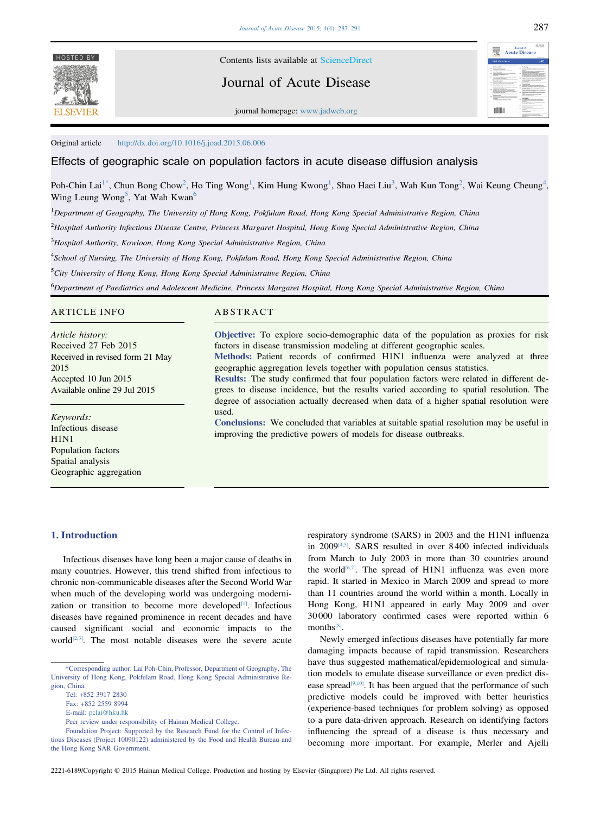

HOSTED BY Contents lists available at [ScienceDirect](www.sciencedirect.com/science/journal/22216189)

Journal of Acute Disease

journal homepage: [www.jadweb.org](http://www.jadweb.org)

Journal of<br>Acute Dise 珊 **TODO** 

Original article <http://dx.doi.org/10.1016/j.joad.2015.06.006>

### Effects of geographic scale on population factors in acute disease diffusion analysis

Poh-Chin Lai<sup>1\*</sup>, Chun Bong Chow<sup>2</sup>, Ho Ting Wong<sup>1</sup>, Kim Hung Kwong<sup>1</sup>, Shao Haei Liu<sup>3</sup>, Wah Kun Tong<sup>2</sup>, Wai Keung Cheung<sup>4</sup>, Wing Leung Wong<sup>5</sup>, Yat Wah Kwan<sup>6</sup>

<sup>1</sup>Department of Geography, The University of Hong Kong, Pokfulam Road, Hong Kong Special Administrative Region, China

2 Hospital Authority Infectious Disease Centre, Princess Margaret Hospital, Hong Kong Special Administrative Region, China

<sup>3</sup>Hospital Authority, Kowloon, Hong Kong Special Administrative Region, China

4 School of Nursing, The University of Hong Kong, Pokfulam Road, Hong Kong Special Administrative Region, China

<sup>5</sup>City University of Hong Kong, Hong Kong Special Administrative Region, China

6 Department of Paediatrics and Adolescent Medicine, Princess Margaret Hospital, Hong Kong Special Administrative Region, China

### ARTICLE INFO

Article history: Received 27 Feb 2015 Received in revised form 21 May 2015 Accepted 10 Jun 2015 Available online 29 Jul 2015

Keywords: Infectious disease H<sub>1</sub>N<sub>1</sub> Population factors Spatial analysis Geographic aggregation

## ABSTRACT

Objective: To explore socio-demographic data of the population as proxies for risk factors in disease transmission modeling at different geographic scales. Methods: Patient records of confirmed H1N1 influenza were analyzed at three

geographic aggregation levels together with population census statistics.

Results: The study confirmed that four population factors were related in different degrees to disease incidence, but the results varied according to spatial resolution. The degree of association actually decreased when data of a higher spatial resolution were used.

Conclusions: We concluded that variables at suitable spatial resolution may be useful in improving the predictive powers of models for disease outbreaks.

### 1. Introduction

Infectious diseases have long been a major cause of deaths in many countries. However, this trend shifted from infectious to chronic non-communicable diseases after the Second World War when much of the developing world was undergoing modernization or transition to become more developed<sup>[1]</sup>. Infectious diseases have regained prominence in recent decades and have caused significant social and economic impacts to the world $[2,3]$ . The most notable diseases were the severe acute

E-mail: [pclai@hku.hk](mailto:pclai@hku.hk)

Foundation Project: Supported by the Research Fund for the Control of Infectious Diseases (Project 10090122) administered by the Food and Health Bureau and the Hong Kong SAR Government.

respiratory syndrome (SARS) in 2003 and the H1N1 influenza in 2009<sup>[4,5]</sup>. SARS resulted in over 8400 infected individuals from March to July 2003 in more than 30 countries around the world<sup>[\[6,7\]](#page-4-0)</sup>. The spread of H1N1 influenza was even more rapid. It started in Mexico in March 2009 and spread to more than 11 countries around the world within a month. Locally in Hong Kong, H1N1 appeared in early May 2009 and over 30 000 laboratory confirmed cases were reported within 6 months<sup>[\[8\]](#page-4-0)</sup>.

Newly emerged infectious diseases have potentially far more damaging impacts because of rapid transmission. Researchers have thus suggested mathematical/epidemiological and simulation models to emulate disease surveillance or even predict disease spread<sup>[9,10]</sup>. It has been argued that the performance of such predictive models could be improved with better heuristics (experience-based techniques for problem solving) as opposed to a pure data-driven approach. Research on identifying factors influencing the spread of a disease is thus necessary and becoming more important. For example, Merler and Ajelli

<sup>\*</sup>Corresponding author: Lai Poh-Chin, Professor, Department of Geography, The University of Hong Kong, Pokfulam Road, Hong Kong Special Administrative Region, China.

Tel: +852 3917 2830

Fax: +852 2559 8994

Peer review under responsibility of Hainan Medical College.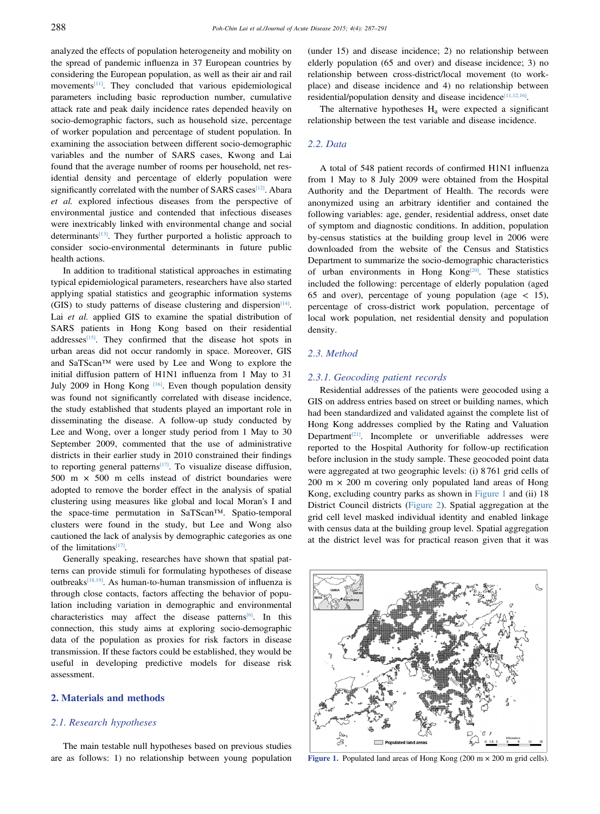analyzed the effects of population heterogeneity and mobility on the spread of pandemic influenza in 37 European countries by considering the European population, as well as their air and rail movement[s\[11\]](#page-4-0). They concluded that various epidemiological parameters including basic reproduction number, cumulative attack rate and peak daily incidence rates depended heavily on socio-demographic factors, such as household size, percentage of worker population and percentage of student population. In examining the association between different socio-demographic variables and the number of SARS cases, Kwong and Lai found that the average number of rooms per household, net residential density and percentage of elderly population were significantly correlated with the number of SARS cases<sup>[12]</sup>. Abara et al. explored infectious diseases from the perspective of environmental justice and contended that infectious diseases were inextricably linked with environmental change and social determinants<sup>[13]</sup>. They further purported a holistic approach to consider socio-environmental determinants in future public health actions.

In addition to traditional statistical approaches in estimating typical epidemiological parameters, researchers have also started applying spatial statistics and geographic information systems (GIS) to study patterns of disease clustering and dispersion $[14]$ . Lai et al. applied GIS to examine the spatial distribution of SARS patients in Hong Kong based on their residential addresses<sup>[15]</sup>. They confirmed that the disease hot spots in urban areas did not occur randomly in space. Moreover, GIS and SaTScan™ were used by Lee and Wong to explore the initial diffusion pattern of H1N1 influenza from 1 May to 31 July 2009 in Hong Kong <a>[\[16\]](#page-4-0)</a>. Even though population density was found not significantly correlated with disease incidence, the study established that students played an important role in disseminating the disease. A follow-up study conducted by Lee and Wong, over a longer study period from 1 May to 30 September 2009, commented that the use of administrative districts in their earlier study in 2010 constrained their findings to reporting general patterns<sup>[17]</sup>. To visualize disease diffusion, 500 m  $\times$  500 m cells instead of district boundaries were adopted to remove the border effect in the analysis of spatial clustering using measures like global and local Moran's I and the space-time permutation in SaTScan™. Spatio-temporal clusters were found in the study, but Lee and Wong also cautioned the lack of analysis by demographic categories as one of the limitations $[17]$ .

Generally speaking, researches have shown that spatial patterns can provide stimuli for formulating hypotheses of disease outbreaks<sup>[\[18,19\]](#page-4-0)</sup>. As human-to-human transmission of influenza is through close contacts, factors affecting the behavior of population including variation in demographic and environmental characteristics may affect the disease patterns<sup>[\[6\]](#page-4-0)</sup>. In this connection, this study aims at exploring socio-demographic data of the population as proxies for risk factors in disease transmission. If these factors could be established, they would be useful in developing predictive models for disease risk assessment.

# 2. Materials and methods

### 2.1. Research hypotheses

The main testable null hypotheses based on previous studies are as follows: 1) no relationship between young population (under 15) and disease incidence; 2) no relationship between elderly population (65 and over) and disease incidence; 3) no relationship between cross-district/local movement (to workplace) and disease incidence and 4) no relationship between residential/population density and disease incidence $[11,12,16]$ .

The alternative hypotheses  $H_a$  were expected a significant relationship between the test variable and disease incidence.

### 2.2. Data

A total of 548 patient records of confirmed H1N1 influenza from 1 May to 8 July 2009 were obtained from the Hospital Authority and the Department of Health. The records were anonymized using an arbitrary identifier and contained the following variables: age, gender, residential address, onset date of symptom and diagnostic conditions. In addition, population by-census statistics at the building group level in 2006 were downloaded from the website of the Census and Statistics Department to summarize the socio-demographic characteristics of urban environments in Hong Kong<sup>[\[20\]](#page-4-0)</sup>. These statistics included the following: percentage of elderly population (aged 65 and over), percentage of young population (age  $\lt$  15), percentage of cross-district work population, percentage of local work population, net residential density and population density.

## 2.3. Method

## 2.3.1. Geocoding patient records

Residential addresses of the patients were geocoded using a GIS on address entries based on street or building names, which had been standardized and validated against the complete list of Hong Kong addresses complied by the Rating and Valuation Department<sup>[21]</sup>. Incomplete or unverifiable addresses were reported to the Hospital Authority for follow-up rectification before inclusion in the study sample. These geocoded point data were aggregated at two geographic levels: (i) 8 761 grid cells of  $200 \text{ m} \times 200 \text{ m}$  covering only populated land areas of Hong Kong, excluding country parks as shown in Figure 1 and (ii) 18 District Council districts [\(Figure 2\)](#page-2-0). Spatial aggregation at the grid cell level masked individual identity and enabled linkage with census data at the building group level. Spatial aggregation at the district level was for practical reason given that it was



Figure 1. Populated land areas of Hong Kong  $(200 \text{ m} \times 200 \text{ m} \text{ grid cells}).$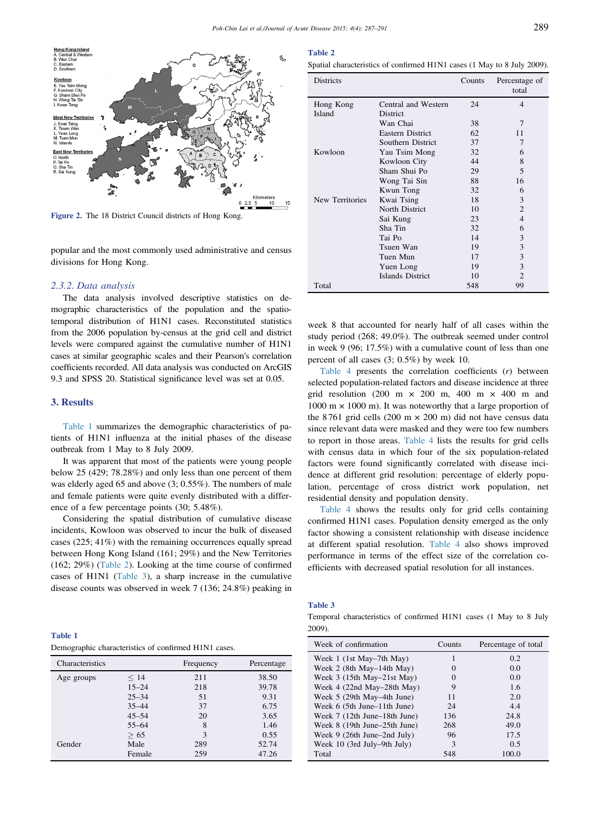<span id="page-2-0"></span>

Figure 2. The 18 District Council districts of Hong Kong.

popular and the most commonly used administrative and census divisions for Hong Kong.

#### 2.3.2. Data analysis

The data analysis involved descriptive statistics on demographic characteristics of the population and the spatiotemporal distribution of H1N1 cases. Reconstituted statistics from the 2006 population by-census at the grid cell and district levels were compared against the cumulative number of H1N1 cases at similar geographic scales and their Pearson's correlation coefficients recorded. All data analysis was conducted on ArcGIS 9.3 and SPSS 20. Statistical significance level was set at 0.05.

#### 3. Results

Table 1 summarizes the demographic characteristics of patients of H1N1 influenza at the initial phases of the disease outbreak from 1 May to 8 July 2009.

It was apparent that most of the patients were young people below 25 (429; 78.28%) and only less than one percent of them was elderly aged 65 and above (3; 0.55%). The numbers of male and female patients were quite evenly distributed with a difference of a few percentage points (30; 5.48%).

Considering the spatial distribution of cumulative disease incidents, Kowloon was observed to incur the bulk of diseased cases (225; 41%) with the remaining occurrences equally spread between Hong Kong Island (161; 29%) and the New Territories (162; 29%) (Table 2). Looking at the time course of confirmed cases of H1N1 (Table 3), a sharp increase in the cumulative disease counts was observed in week 7 (136; 24.8%) peaking in

Table 1 Demographic characteristics of confirmed H1N1 cases.

| Characteristics |           | Frequency | Percentage |
|-----------------|-----------|-----------|------------|
| Age groups      | < 14      | 211       | 38.50      |
|                 | $15 - 24$ | 218       | 39.78      |
|                 | $25 - 34$ | 51        | 9.31       |
|                 | $35 - 44$ | 37        | 6.75       |
|                 | $45 - 54$ | 20        | 3.65       |
|                 | $55 - 64$ | 8         | 1.46       |
|                 | > 65      | 3         | 0.55       |
| Gender          | Male      | 289       | 52.74      |
|                 | Female    | 259       | 47.26      |
|                 |           |           |            |

#### Table 2

Spatial characteristics of confirmed H1N1 cases (1 May to 8 July 2009).

| <b>Districts</b> |                         | Counts | Percentage of<br>total |
|------------------|-------------------------|--------|------------------------|
| Hong Kong        | Central and Western     | 24     | $\overline{4}$         |
| Island           | District                |        |                        |
|                  | Wan Chai                | 38     | 7                      |
|                  | <b>Eastern District</b> | 62     | 11                     |
|                  | Southern District       | 37     | 7                      |
| Kowloon          | Yau Tsim Mong           | 32     | 6                      |
|                  | Kowloon City            | 44     | 8                      |
|                  | Sham Shui Po            | 29     | 5                      |
|                  | Wong Tai Sin            | 88     | 16                     |
|                  | Kwun Tong               | 32     | 6                      |
| New Territories  | Kwai Tsing              | 18     | 3                      |
|                  | North District          | 10     | 2                      |
|                  | Sai Kung                | 23     | 4                      |
|                  | Sha Tin                 | 32     | 6                      |
|                  | Tai Po                  | 14     | 3                      |
|                  | Tsuen Wan               | 19     | 3                      |
|                  | Tuen Mun                | 17     | 3                      |
|                  | Yuen Long               | 19     | 3                      |
|                  | Islands District        | 10     | $\overline{c}$         |
| Total            |                         | 548    | 99                     |

week 8 that accounted for nearly half of all cases within the study period (268; 49.0%). The outbreak seemed under control in week 9 (96; 17.5%) with a cumulative count of less than one percent of all cases (3; 0.5%) by week 10.

[Table 4](#page-3-0) presents the correlation coefficients  $(r)$  between selected population-related factors and disease incidence at three grid resolution (200 m  $\times$  200 m, 400 m  $\times$  400 m and 1000 m  $\times$  1000 m). It was noteworthy that a large proportion of the 8761 grid cells (200 m  $\times$  200 m) did not have census data since relevant data were masked and they were too few numbers to report in those areas. [Table 4](#page-3-0) lists the results for grid cells with census data in which four of the six population-related factors were found significantly correlated with disease incidence at different grid resolution: percentage of elderly population, percentage of cross district work population, net residential density and population density.

[Table 4](#page-3-0) shows the results only for grid cells containing confirmed H1N1 cases. Population density emerged as the only factor showing a consistent relationship with disease incidence at different spatial resolution. [Table 4](#page-3-0) also shows improved performance in terms of the effect size of the correlation coefficients with decreased spatial resolution for all instances.

#### Table 3

Temporal characteristics of confirmed H1N1 cases (1 May to 8 July 2009).

| Week of confirmation         | Counts | Percentage of total |
|------------------------------|--------|---------------------|
| Week 1 (1st May–7th May)     |        | 0.2                 |
| Week 2 (8th May–14th May)    |        | 0.0                 |
| Week $3$ (15th May–21st May) |        | 0.0                 |
| Week 4 (22nd May–28th May)   | 9      | 1.6                 |
| Week 5 (29th May–4th June)   | 11     | 2.0                 |
| Week 6 (5th June–11th June)  | 24     | 4.4                 |
| Week 7 (12th June–18th June) | 136    | 24.8                |
| Week 8 (19th June–25th June) | 268    | 49.0                |
| Week 9 (26th June–2nd July)  | 96     | 17.5                |
| Week 10 (3rd July–9th July)  | 3      | 0.5                 |
| Total                        | 548    | 100.0               |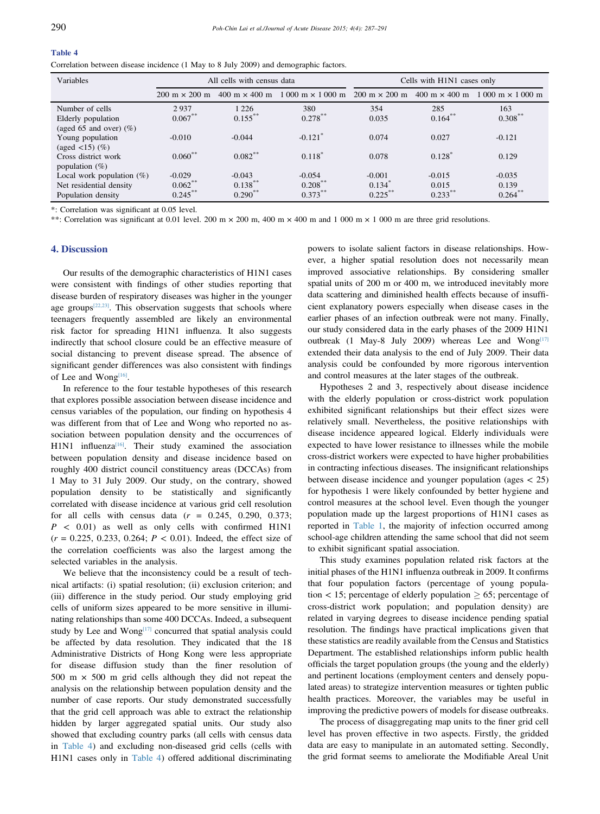### <span id="page-3-0"></span>Table 4

Correlation between disease incidence (1 May to 8 July 2009) and demographic factors.

| Variables                                          | All cells with census data           |                       |                                                                                                         | Cells with H1N1 cases only |                   |                                        |
|----------------------------------------------------|--------------------------------------|-----------------------|---------------------------------------------------------------------------------------------------------|----------------------------|-------------------|----------------------------------------|
|                                                    | $200 \text{ m} \times 200 \text{ m}$ |                       | $400 \text{ m} \times 400 \text{ m}$ 1 000 m $\times$ 1 000 m 200 m $\times$ 200 m 400 m $\times$ 400 m |                            |                   | $1000 \text{ m} \times 1000 \text{ m}$ |
| Number of cells<br>Elderly population              | 2937<br>$0.067***$                   | 1 2 2 6<br>$0.155***$ | 380<br>$0.278***$                                                                                       | 354<br>0.035               | 285<br>$0.164***$ | 163<br>$0.308***$                      |
| (aged 65 and over) $(\%)$                          |                                      |                       |                                                                                                         |                            |                   |                                        |
| Young population<br>(aged $\langle 15 \rangle$ (%) | $-0.010$                             | $-0.044$              | $-0.121$ <sup>*</sup>                                                                                   | 0.074                      | 0.027             | $-0.121$                               |
| Cross district work<br>population $(\%)$           | $0.060***$                           | $0.082***$            | $0.118^*$                                                                                               | 0.078                      | 0.128             | 0.129                                  |
| Local work population $(\%)$                       | $-0.029$                             | $-0.043$              | $-0.054$                                                                                                | $-0.001$                   | $-0.015$          | $-0.035$                               |
| Net residential density                            | $0.062***$                           | $0.138***$            | $0.208***$                                                                                              | $0.134$ <sup>*</sup>       | 0.015             | 0.139                                  |
| Population density                                 | $0.245***$                           | $0.290**$             | $0.373***$                                                                                              | $0.225***$                 | $0.233***$        | $0.264***$                             |

\*: Correlation was significant at 0.05 level.

\*\*: Correlation was significant at 0.01 level. 200 m  $\times$  200 m, 400 m  $\times$  400 m and 1 000 m  $\times$  1 000 m are three grid resolutions.

#### 4. Discussion

Our results of the demographic characteristics of H1N1 cases were consistent with findings of other studies reporting that disease burden of respiratory diseases was higher in the younger age groups $[22,23]$ . This observation suggests that schools where teenagers frequently assembled are likely an environmental risk factor for spreading H1N1 influenza. It also suggests indirectly that school closure could be an effective measure of social distancing to prevent disease spread. The absence of significant gender differences was also consistent with findings of Lee and Wong $[16]$ .

In reference to the four testable hypotheses of this research that explores possible association between disease incidence and census variables of the population, our finding on hypothesis 4 was different from that of Lee and Wong who reported no association between population density and the occurrences of H1N1 influenza<sup>[16]</sup>. Their study examined the association between population density and disease incidence based on roughly 400 district council constituency areas (DCCAs) from 1 May to 31 July 2009. Our study, on the contrary, showed population density to be statistically and significantly correlated with disease incidence at various grid cell resolution for all cells with census data  $(r = 0.245, 0.290, 0.373;$  $P \leq 0.01$ ) as well as only cells with confirmed H1N1  $(r = 0.225, 0.233, 0.264; P < 0.01)$ . Indeed, the effect size of the correlation coefficients was also the largest among the selected variables in the analysis.

We believe that the inconsistency could be a result of technical artifacts: (i) spatial resolution; (ii) exclusion criterion; and (iii) difference in the study period. Our study employing grid cells of uniform sizes appeared to be more sensitive in illuminating relationships than some 400 DCCAs. Indeed, a subsequent study by Lee and Wong<sup>[\[17\]](#page-4-0)</sup> concurred that spatial analysis could be affected by data resolution. They indicated that the 18 Administrative Districts of Hong Kong were less appropriate for disease diffusion study than the finer resolution of 500 m  $\times$  500 m grid cells although they did not repeat the analysis on the relationship between population density and the number of case reports. Our study demonstrated successfully that the grid cell approach was able to extract the relationship hidden by larger aggregated spatial units. Our study also showed that excluding country parks (all cells with census data in Table 4) and excluding non-diseased grid cells (cells with H1N1 cases only in Table 4) offered additional discriminating

powers to isolate salient factors in disease relationships. However, a higher spatial resolution does not necessarily mean improved associative relationships. By considering smaller spatial units of 200 m or 400 m, we introduced inevitably more data scattering and diminished health effects because of insufficient explanatory powers especially when disease cases in the earlier phases of an infection outbreak were not many. Finally, our study considered data in the early phases of the 2009 H1N1 outbreak (1 May-8 July 2009) whereas Lee and Wong $[17]$ extended their data analysis to the end of July 2009. Their data analysis could be confounded by more rigorous intervention and control measures at the later stages of the outbreak.

Hypotheses 2 and 3, respectively about disease incidence with the elderly population or cross-district work population exhibited significant relationships but their effect sizes were relatively small. Nevertheless, the positive relationships with disease incidence appeared logical. Elderly individuals were expected to have lower resistance to illnesses while the mobile cross-district workers were expected to have higher probabilities in contracting infectious diseases. The insignificant relationships between disease incidence and younger population (ages < 25) for hypothesis 1 were likely confounded by better hygiene and control measures at the school level. Even though the younger population made up the largest proportions of H1N1 cases as reported in [Table 1](#page-2-0), the majority of infection occurred among school-age children attending the same school that did not seem to exhibit significant spatial association.

This study examines population related risk factors at the initial phases of the H1N1 influenza outbreak in 2009. It confirms that four population factors (percentage of young population  $<$  15; percentage of elderly population  $\geq$  65; percentage of cross-district work population; and population density) are related in varying degrees to disease incidence pending spatial resolution. The findings have practical implications given that these statistics are readily available from the Census and Statistics Department. The established relationships inform public health officials the target population groups (the young and the elderly) and pertinent locations (employment centers and densely populated areas) to strategize intervention measures or tighten public health practices. Moreover, the variables may be useful in improving the predictive powers of models for disease outbreaks.

The process of disaggregating map units to the finer grid cell level has proven effective in two aspects. Firstly, the gridded data are easy to manipulate in an automated setting. Secondly, the grid format seems to ameliorate the Modifiable Areal Unit